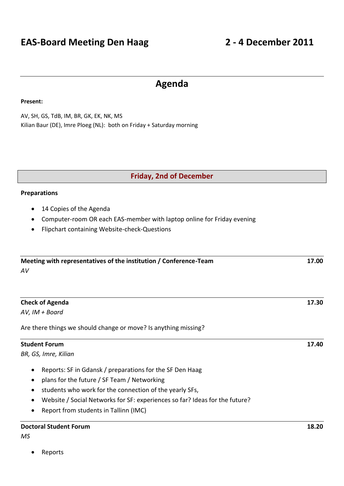## **Agenda**

**Present:**

AV, SH, GS, TdB, IM, BR, GK, EK, NK, MS Kilian Baur (DE), Imre Ploeg (NL): both on Friday + Saturday morning

## **Friday, 2nd of December**

### **Preparations**

- 14 Copies of the Agenda
- Computer-room OR each EAS-member with laptop online for Friday evening
- Flipchart containing Website-check-Questions

| Meeting with representatives of the institution / Conference-Team<br>AV     | 17.00 |
|-----------------------------------------------------------------------------|-------|
| <b>Check of Agenda</b>                                                      | 17.30 |
| AV, IM + Board                                                              |       |
| Are there things we should change or move? Is anything missing?             |       |
| <b>Student Forum</b>                                                        | 17.40 |
| BR, GS, Imre, Kilian                                                        |       |
| Reports: SF in Gdansk / preparations for the SF Den Haag<br>$\bullet$       |       |
| plans for the future / SF Team / Networking<br>$\bullet$                    |       |
| students who work for the connection of the yearly SFs,                     |       |
| Website / Social Networks for SF: experiences so far? Ideas for the future? |       |

• Report from students in Tallinn (IMC)

## **Doctoral Student Forum 18.20**

*MS*

• Reports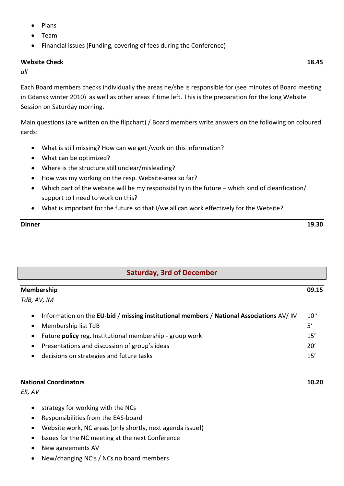- Plans
- Team
- Financial issues (Funding, covering of fees during the Conference)

## **Website Check 18.45**

*all*

Each Board members checks individually the areas he/she is responsible for (see minutes of Board meeting in Gdansk winter 2010) as well as other areas if time left. This is the preparation for the long Website Session on Saturday morning.

Main questions (are written on the flipchart) / Board members write answers on the following on coloured cards:

- What is still missing? How can we get /work on this information?
- What can be optimized?
- Where is the structure still unclear/misleading?
- How was my working on the resp. Website-area so far?
- Which part of the website will be my responsibility in the future which kind of clearification/ support to I need to work on this?
- What is important for the future so that I/we all can work effectively for the Website?

### **Dinner 19.30**

# **Saturday, 3rd of December Membership 09.15** *TdB, AV, IM* Information on the **EU-bid** / **missing institutional members** / **National Associations** AV/ IM 10 '

• Membership list TdB 5' Future **policy** reg. Institutional membership - group work 15' Presentations and discussion of group's ideas 20' • decisions on strategies and future tasks 15'

## **National Coordinators 10.20**

*EK, AV*

- $\bullet$  strategy for working with the NCs
- Responsibilities from the EAS-board
- Website work, NC areas (only shortly, next agenda issue!)
- Issues for the NC meeting at the next Conference
- New agreements AV
- New/changing NC's / NCs no board members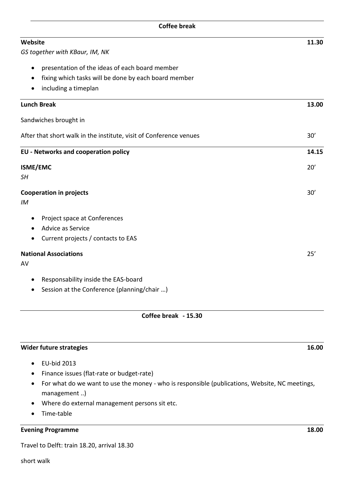| Website                                                            | 11.30 |
|--------------------------------------------------------------------|-------|
| GS together with KBaur, IM, NK                                     |       |
| presentation of the ideas of each board member<br>$\bullet$        |       |
| fixing which tasks will be done by each board member<br>$\bullet$  |       |
| including a timeplan<br>$\bullet$                                  |       |
| <b>Lunch Break</b>                                                 | 13.00 |
| Sandwiches brought in                                              |       |
| After that short walk in the institute, visit of Conference venues | 30'   |
| <b>EU - Networks and cooperation policy</b>                        | 14.15 |
| <b>ISME/EMC</b>                                                    | 20'   |
| SΗ                                                                 |       |
| <b>Cooperation in projects</b>                                     | 30'   |
| IM                                                                 |       |
| Project space at Conferences<br>$\bullet$                          |       |
| Advice as Service                                                  |       |
| Current projects / contacts to EAS<br>$\bullet$                    |       |
| <b>National Associations</b>                                       | 25'   |
| AV                                                                 |       |

- Responsability inside the EAS-board
- Session at the Conference (planning/chair …)

### **Coffee break - 15.30**

### **Wider future strategies 16.00**

- $\bullet$  EU-bid 2013
- Finance issues (flat-rate or budget-rate)
- For what do we want to use the money who is responsible (publications, Website, NC meetings, management ..)
- Where do external management persons sit etc.
- Time-table

### **Evening Programme 18.00**

Travel to Delft: train 18.20, arrival 18.30